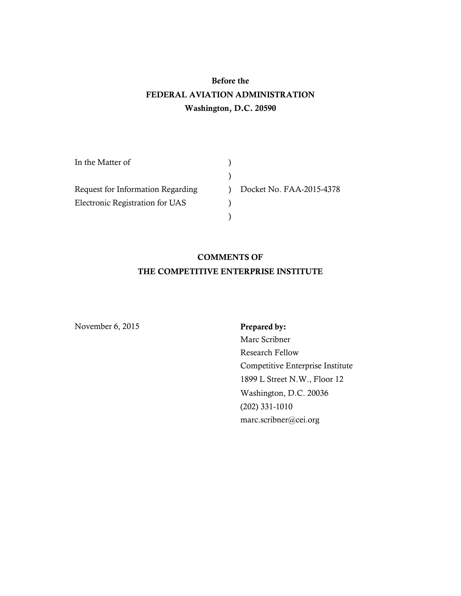# **Before the FEDERAL AVIATION ADMINISTRATION Washington, D.C. 20590**

| In the Matter of                  |  |                          |
|-----------------------------------|--|--------------------------|
|                                   |  |                          |
| Request for Information Regarding |  | Docket No. FAA-2015-4378 |
| Electronic Registration for UAS   |  |                          |
|                                   |  |                          |

# **COMMENTS OF THE COMPETITIVE ENTERPRISE INSTITUTE**

November 6, 2015 **Prepared by:** 

Marc Scribner Research Fellow Competitive Enterprise Institute 1899 L Street N.W., Floor 12 Washington, D.C. 20036 (202) 331-1010 marc.scribner@cei.org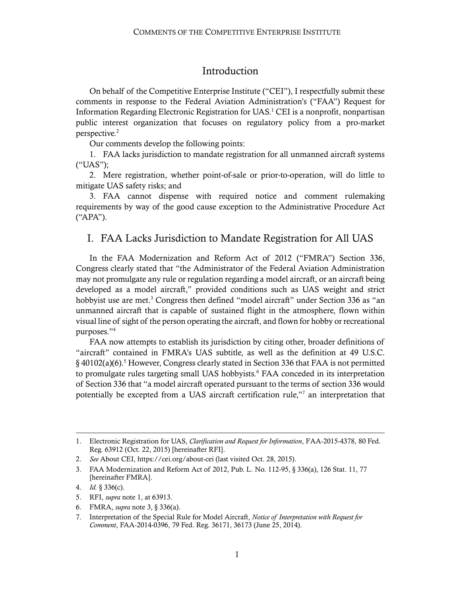## <span id="page-1-0"></span>Introduction

On behalf of the Competitive Enterprise Institute ("CEI"), I respectfully submit these comments in response to the Federal Aviation Administration's ("FAA") Request for Information Regarding Electronic Registration for UAS. <sup>1</sup> CEI is a nonprofit, nonpartisan public interest organization that focuses on regulatory policy from a pro-market perspective.<sup>2</sup>

Our comments develop the following points:

1. FAA lacks jurisdiction to mandate registration for all unmanned aircraft systems ("UAS");

2. Mere registration, whether point-of-sale or prior-to-operation, will do little to mitigate UAS safety risks; and

3. FAA cannot dispense with required notice and comment rulemaking requirements by way of the good cause exception to the Administrative Procedure Act ("APA").

### I. FAA Lacks Jurisdiction to Mandate Registration for All UAS

<span id="page-1-1"></span>In the FAA Modernization and Reform Act of 2012 ("FMRA") Section 336, Congress clearly stated that "the Administrator of the Federal Aviation Administration may not promulgate any rule or regulation regarding a model aircraft, or an aircraft being developed as a model aircraft," provided conditions such as UAS weight and strict hobbyist use are met.<sup>3</sup> Congress then defined "model aircraft" under Section 336 as "an unmanned aircraft that is capable of sustained flight in the atmosphere, flown within visual line of sight of the person operating the aircraft, and flown for hobby or recreational purposes." 4

FAA now attempts to establish its jurisdiction by citing other, broader definitions of "aircraft" contained in FMRA's UAS subtitle, as well as the definition at 49 U.S.C. § 40102(a)(6).<sup>5</sup> However, Congress clearly stated in Section 336 that FAA is not permitted to promulgate rules targeting small UAS hobbyists.<sup>6</sup> FAA conceded in its interpretation of Section 336 that "a model aircraft operated pursuant to the terms of section 336 would potentially be excepted from a UAS aircraft certification rule,"<sup>7</sup> an interpretation that

1

<sup>1.</sup> Electronic Registration for UAS, *Clarification and Request for Information*, FAA-2015-4378, 80 Fed. Reg. 63912 (Oct. 22, 2015) [hereinafter RFI].

<sup>2.</sup> *See* About CEI[, https://cei.org/about-cei](https://cei.org/about-cei) (last visited Oct. 28, 2015).

<sup>3.</sup> FAA Modernization and Reform Act of 2012, Pub. L. No. 112-95, § 336(a), 126 Stat. 11, 77 [hereinafter FMRA].

<sup>4.</sup> *Id.* § 336(c).

<sup>5.</sup> RFI, *supra* note [1,](#page-1-0) at 63913.

<sup>6.</sup> FMRA, *supra* note [3,](#page-1-1) § 336(a).

<sup>7.</sup> Interpretation of the Special Rule for Model Aircraft, *Notice of Interpretation with Request for Comment*, FAA-2014-0396, 79 Fed. Reg. 36171, 36173 (June 25, 2014).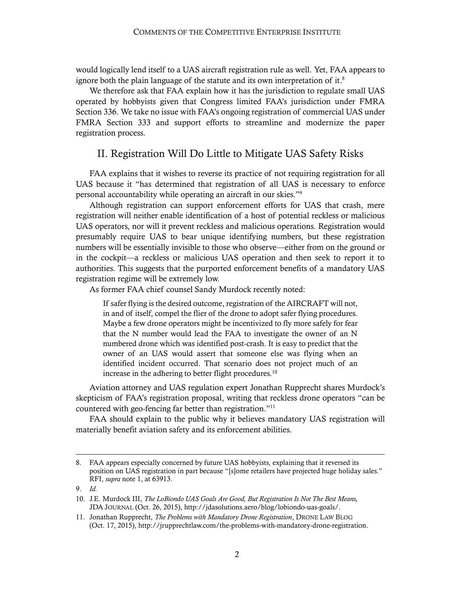would logically lend itself to a UAS aircraft registration rule as well. Yet, FAA appears to ignore both the plain language of the statute and its own interpretation of it.<sup>8</sup>

We therefore ask that FAA explain how it has the jurisdiction to regulate small UAS operated by hobbyists given that Congress limited FAA's jurisdiction under FMRA Section 336. We take no issue with FAA's ongoing registration of commercial UAS under FMRA Section 333 and support efforts to streamline and modernize the paper registration process.

## II. Registration Will Do Little to Mitigate UAS Safety Risks

FAA explains that it wishes to reverse its practice of not requiring registration for all UAS because it "has determined that registration of all UAS is necessary to enforce personal accountability while operating an aircraft in our skies."<sup>9</sup>

Although registration can support enforcement efforts for UAS that crash, mere registration will neither enable identification of a host of potential reckless or malicious UAS operators, nor will it prevent reckless and malicious operations. Registration would presumably require UAS to bear unique identifying numbers, but these registration numbers will be essentially invisible to those who observe—either from on the ground or in the cockpit—a reckless or malicious UAS operation and then seek to report it to authorities. This suggests that the purported enforcement benefits of a mandatory UAS registration regime will be extremely low.

As former FAA chief counsel Sandy Murdock recently noted:

If safer flying is the desired outcome, registration of the AIRCRAFT will not, in and of itself, compel the flier of the drone to adopt safer flying procedures. Maybe a few drone operators might be incentivized to fly more safely for fear that the N number would lead the FAA to investigate the owner of an N numbered drone which was identified post-crash. It is easy to predict that the owner of an UAS would assert that someone else was flying when an identified incident occurred. That scenario does not project much of an increase in the adhering to better flight procedures.<sup>10</sup>

Aviation attorney and UAS regulation expert Jonathan Rupprecht shares Murdock's skepticism of FAA's registration proposal, writing that reckless drone operators "can be countered with geo-fencing far better than registration."<sup>11</sup>

FAA should explain to the public why it believes mandatory UAS registration will materially benefit aviation safety and its enforcement abilities.

 $\overline{a}$ 

<sup>8.</sup> FAA appears especially concerned by future UAS hobbyists, explaining that it reversed its position on UAS registration in part because "[s]ome retailers have projected huge holiday sales." RFI, *supra* note [1,](#page-1-0) at 63913.

<sup>9.</sup> *Id.*

<sup>10.</sup> J.E. Murdock III, *The LoBiondo UAS Goals Are Good, But Registration Is Not The Best Means,* JDA JOURNAL (Oct. 26, 2015), [http://jdasolutions.aero/blog/lobiondo-uas-goals/.](http://jdasolutions.aero/blog/lobiondo-uas-goals/)

<sup>11.</sup> Jonathan Rupprecht, *The Problems with Mandatory Drone Registration*, DRONE LAW BLOG (Oct. 17, 2015), [http://jrupprechtlaw.com/the-problems-with-mandatory-drone-registration.](http://jrupprechtlaw.com/the-problems-with-mandatory-drone-registration)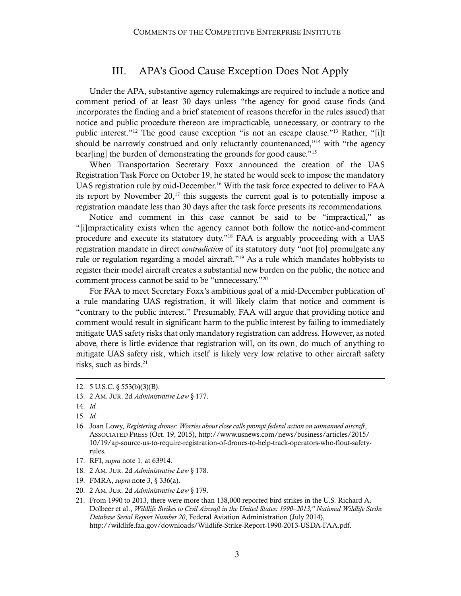# III. APA's Good Cause Exception Does Not Apply

Under the APA, substantive agency rulemakings are required to include a notice and comment period of at least 30 days unless "the agency for good cause finds (and incorporates the finding and a brief statement of reasons therefor in the rules issued) that notice and public procedure thereon are impracticable, unnecessary, or contrary to the public interest." <sup>12</sup> The good cause exception "is not an escape clause." <sup>13</sup> Rather, "[i]t should be narrowly construed and only reluctantly countenanced,"<sup>14</sup> with "the agency bear[ing] the burden of demonstrating the grounds for good cause." 15

When Transportation Secretary Foxx announced the creation of the UAS Registration Task Force on October 19, he stated he would seek to impose the mandatory UAS registration rule by mid-December.<sup>16</sup> With the task force expected to deliver to FAA its report by November  $20$ ,<sup>17</sup> this suggests the current goal is to potentially impose a registration mandate less than 30 days after the task force presents its recommendations.

Notice and comment in this case cannot be said to be "impractical," as "[i]mpracticality exists when the agency cannot both follow the notice-and-comment procedure and execute its statutory duty." <sup>18</sup> FAA is arguably proceeding with a UAS registration mandate in direct *contradiction* of its statutory duty "not [to] promulgate any rule or regulation regarding a model aircraft." <sup>19</sup> As a rule which mandates hobbyists to register their model aircraft creates a substantial new burden on the public, the notice and comment process cannot be said to be "unnecessary." 20

For FAA to meet Secretary Foxx's ambitious goal of a mid-December publication of a rule mandating UAS registration, it will likely claim that notice and comment is "contrary to the public interest." Presumably, FAA will argue that providing notice and comment would result in significant harm to the public interest by failing to immediately mitigate UAS safety risksthat only mandatory registration can address. However, as noted above, there is little evidence that registration will, on its own, do much of anything to mitigate UAS safety risk, which itself is likely very low relative to other aircraft safety risks, such as birds.<sup>21</sup>

1

- 16. Joan Lowy, *Registering drones: Worries about close calls prompt federal action on unmanned aircraft*, ASSOCIATED PRESS (Oct. 19, 2015)[, http://www.usnews.com/news/business/articles/2015/](http://www.usnews.com/news/business/articles/2015/10/19/ap-source-us-to-require-registration-of-drones-to-help-track-operators-who-flout-safety-rules) [10/19/ap-source-us-to-require-registration-of-drones-to-help-track-operators-who-flout-safety](http://www.usnews.com/news/business/articles/2015/10/19/ap-source-us-to-require-registration-of-drones-to-help-track-operators-who-flout-safety-rules)[rules.](http://www.usnews.com/news/business/articles/2015/10/19/ap-source-us-to-require-registration-of-drones-to-help-track-operators-who-flout-safety-rules)
- 17. RFI, *supra* note [1,](#page-1-0) at 63914.
- 18. 2 AM. JUR. 2d *Administrative Law* § 178.
- 19. FMRA, *supra* note [3,](#page-1-1) § 336(a).
- 20. 2 AM. JUR. 2d *Administrative Law* § 179.
- 21. From 1990 to 2013, there were more than 138,000 reported bird strikes in the U.S. Richard A. Dolbeer et al., *Wildlife Strikes to Civil Aircraft in the United States: 1990–2013," National Wildlife Strike Database Serial Report Number 20*, Federal Aviation Administration (July 2014), [http://wildlife.faa.gov/downloads/Wildlife-Strike-Report-1990-2013-USDA-FAA.pdf.](http://wildlife.faa.gov/downloads/Wildlife-Strike-Report-1990-2013-USDA-FAA.pdf)

<sup>12. 5</sup> U.S.C. § 553(b)(3)(B).

<sup>13. 2</sup> AM. JUR. 2d *Administrative Law* § 177.

<sup>14.</sup> *Id.*

<sup>15.</sup> *Id.*